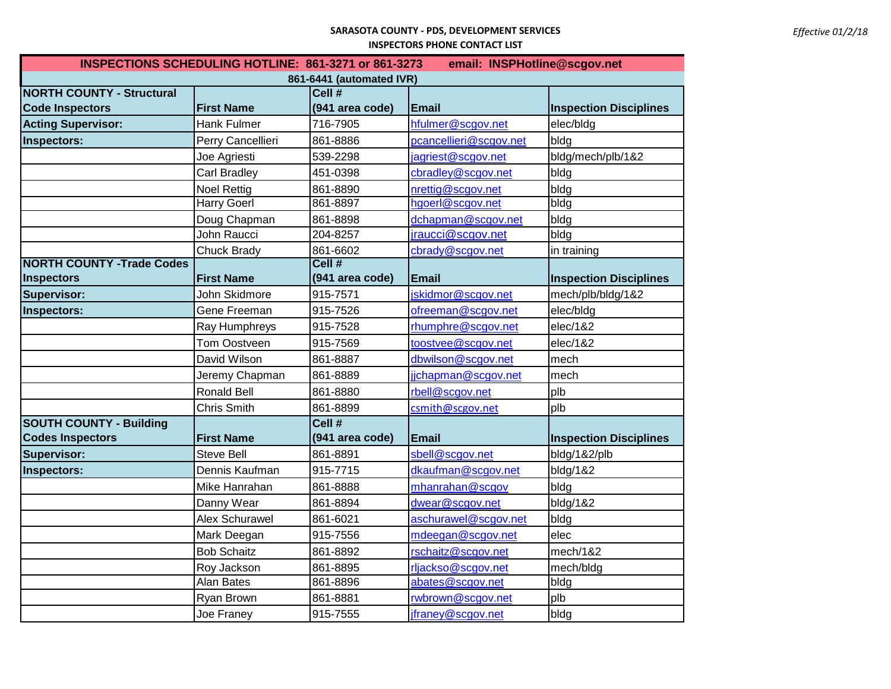## **SARASOTA COUNTY - PDS, DEVELOPMENT SERVICES INSPECTORS PHONE CONTACT LIST**

| INSPECTIONS SCHEDULING HOTLINE: 861-3271 or 861-3273<br>email: INSPHotline@scgov.net |                       |                 |                        |                               |  |  |
|--------------------------------------------------------------------------------------|-----------------------|-----------------|------------------------|-------------------------------|--|--|
| 861-6441 (automated IVR)                                                             |                       |                 |                        |                               |  |  |
| <b>NORTH COUNTY - Structural</b>                                                     |                       | Cell #          |                        |                               |  |  |
| <b>Code Inspectors</b>                                                               | <b>First Name</b>     | (941 area code) | <b>Email</b>           | <b>Inspection Disciplines</b> |  |  |
| <b>Acting Supervisor:</b>                                                            | <b>Hank Fulmer</b>    | 716-7905        | hfulmer@scgov.net      | elec/bldg                     |  |  |
| Inspectors:                                                                          | Perry Cancellieri     | 861-8886        | pcancellieri@scgov.net | bldg                          |  |  |
|                                                                                      | Joe Agriesti          | 539-2298        | jagriest@scgov.net     | bldg/mech/plb/1&2             |  |  |
|                                                                                      | <b>Carl Bradley</b>   | 451-0398        | cbradley@scgov.net     | bldg                          |  |  |
|                                                                                      | <b>Noel Rettig</b>    | 861-8890        | nrettig@scgov.net      | blda                          |  |  |
|                                                                                      | <b>Harry Goerl</b>    | 861-8897        | hgoerl@scgov.net       | bldg                          |  |  |
|                                                                                      | Doug Chapman          | 861-8898        | dchapman@scgov.net     | bldg                          |  |  |
|                                                                                      | John Raucci           | 204-8257        | jraucci@scgov.net      | bldg                          |  |  |
|                                                                                      | <b>Chuck Brady</b>    | 861-6602        | cbrady@scgov.net       | in training                   |  |  |
| <b>NORTH COUNTY -Trade Codes</b>                                                     |                       | Cell #          |                        |                               |  |  |
| <b>Inspectors</b>                                                                    | <b>First Name</b>     | (941 area code) | <b>Email</b>           | <b>Inspection Disciplines</b> |  |  |
| <b>Supervisor:</b>                                                                   | John Skidmore         | 915-7571        | jskidmor@scgov.net     | mech/plb/bldg/1&2             |  |  |
| Inspectors:                                                                          | Gene Freeman          | 915-7526        | ofreeman@scgov.net     | elec/bldg                     |  |  |
|                                                                                      | Ray Humphreys         | 915-7528        | rhumphre@scgov.net     | elec/1&2                      |  |  |
|                                                                                      | <b>Tom Oostveen</b>   | 915-7569        | toostvee@scgov.net     | elec/1&2                      |  |  |
|                                                                                      | David Wilson          | 861-8887        | dbwilson@scgov.net     | mech                          |  |  |
|                                                                                      | Jeremy Chapman        | 861-8889        | jjchapman@scgov.net    | mech                          |  |  |
|                                                                                      | <b>Ronald Bell</b>    | 861-8880        | rbell@scgov.net        | plb                           |  |  |
|                                                                                      | Chris Smith           | 861-8899        | csmith@scgov.net       | plb                           |  |  |
| <b>SOUTH COUNTY - Building</b>                                                       |                       | Cell #          |                        |                               |  |  |
| <b>Codes Inspectors</b>                                                              | <b>First Name</b>     | (941 area code) | <b>Email</b>           | <b>Inspection Disciplines</b> |  |  |
| <b>Supervisor:</b>                                                                   | <b>Steve Bell</b>     | 861-8891        | sbell@scgov.net        | bldg/1&2/plb                  |  |  |
| Inspectors:                                                                          | Dennis Kaufman        | 915-7715        | dkaufman@scgov.net     | bldg/1&2                      |  |  |
|                                                                                      | Mike Hanrahan         | 861-8888        | mhanrahan@scgov        | bldg                          |  |  |
|                                                                                      | Danny Wear            | 861-8894        | dwear@scgov.net        | bldg/1&2                      |  |  |
|                                                                                      | <b>Alex Schurawel</b> | 861-6021        | aschurawel@scgov.net   | bldg                          |  |  |
|                                                                                      | Mark Deegan           | 915-7556        | mdeegan@scgov.net      | elec                          |  |  |
|                                                                                      | <b>Bob Schaitz</b>    | 861-8892        | rschaitz@scgov.net     | mech/1&2                      |  |  |
|                                                                                      | Roy Jackson           | 861-8895        | rljackso@scgov.net     | mech/bldg                     |  |  |
|                                                                                      | Alan Bates            | 861-8896        | abates@scgov.net       | bldg                          |  |  |
|                                                                                      | Ryan Brown            | 861-8881        | rwbrown@scgov.net      | plb                           |  |  |
|                                                                                      | Joe Franey            | 915-7555        | jfraney@scgov.net      | bldg                          |  |  |